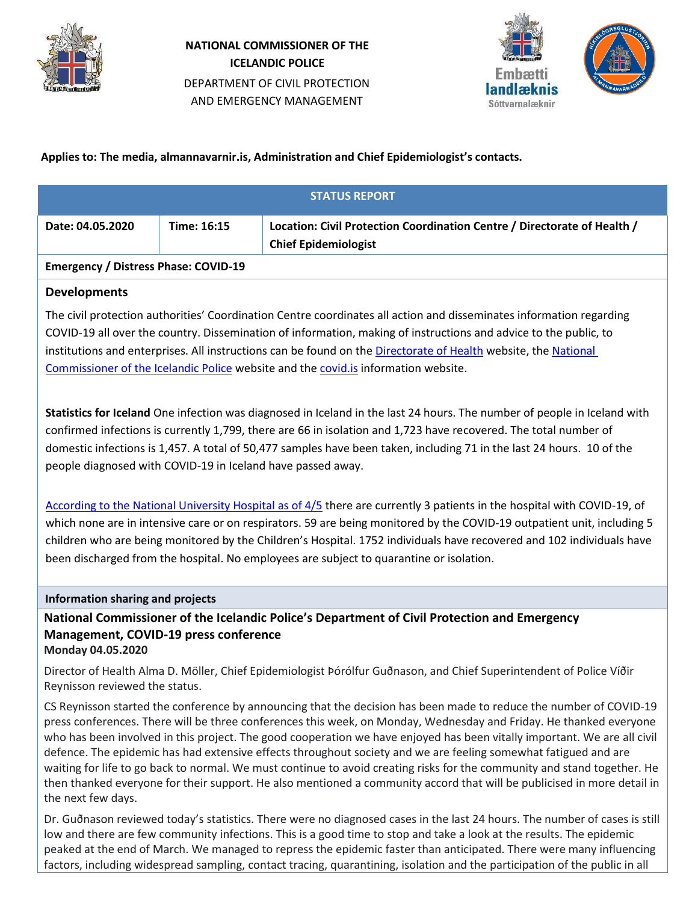

# **NATIONAL COMMISSIONER OF THE ICELANDIC POLICE** DEPARTMENT OF CIVIL PROTECTION AND EMERGENCY MANAGEMENT



## **Applies to: The media, almannavarnir.is, Administration and Chief Epidemiologist's contacts.**

| <b>STATUS REPORT</b>                                         |             |                                                                                                         |  |
|--------------------------------------------------------------|-------------|---------------------------------------------------------------------------------------------------------|--|
| Date: 04.05.2020                                             | Time: 16:15 | Location: Civil Protection Coordination Centre / Directorate of Health /<br><b>Chief Epidemiologist</b> |  |
| $F_{\text{max}}$ $\ldots$ $F_{\text{max}}$ $\theta$ $\theta$ |             |                                                                                                         |  |

#### **Emergency / Distress Phase: COVID-19**

## **Developments**

The civil protection authorities' Coordination Centre coordinates all action and disseminates information regarding COVID-19 all over the country. Dissemination of information, making of instructions and advice to the public, to institutions and enterprises. All instructions can be found on the [Directorate of Health](https://www.landlaeknir.is/koronaveira) website, the National [Commissioner of the Icelandic Police](https://www.almannavarnir.is/) website and th[e covid.is](http://www.covid.is/) information website.

**Statistics for Iceland** One infection was diagnosed in Iceland in the last 24 hours. The number of people in Iceland with confirmed infections is currently 1,799, there are 66 in isolation and 1,723 have recovered. The total number of domestic infections is 1,457. A total of 50,477 samples have been taken, including 71 in the last 24 hours. 10 of the people diagnosed with COVID-19 in Iceland have passed away.

[According to the National University Hospital](https://www.landspitali.is/default.aspx?pageid=b629a8e0-b262-49e0-b842-0f776cb4241e) as of 4/5 there are currently 3 patients in the hospital with COVID-19, of which none are in intensive care or on respirators. 59 are being monitored by the COVID-19 outpatient unit, including 5 children who are being monitored by the Children's Hospital. 1752 individuals have recovered and 102 individuals have been discharged from the hospital. No employees are subject to quarantine or isolation.

#### **Information sharing and projects**

**National Commissioner of the Icelandic Police's Department of Civil Protection and Emergency Management, COVID-19 press conference Monday 04.05.2020**

Director of Health Alma D. Möller, Chief Epidemiologist Þórólfur Guðnason, and Chief Superintendent of Police Víðir Reynisson reviewed the status.

CS Reynisson started the conference by announcing that the decision has been made to reduce the number of COVID-19 press conferences. There will be three conferences this week, on Monday, Wednesday and Friday. He thanked everyone who has been involved in this project. The good cooperation we have enjoyed has been vitally important. We are all civil defence. The epidemic has had extensive effects throughout society and we are feeling somewhat fatigued and are waiting for life to go back to normal. We must continue to avoid creating risks for the community and stand together. He then thanked everyone for their support. He also mentioned a community accord that will be publicised in more detail in the next few days.

Dr. Guðnason reviewed today's statistics. There were no diagnosed cases in the last 24 hours. The number of cases is still low and there are few community infections. This is a good time to stop and take a look at the results. The epidemic peaked at the end of March. We managed to repress the epidemic faster than anticipated. There were many influencing factors, including widespread sampling, contact tracing, quarantining, isolation and the participation of the public in all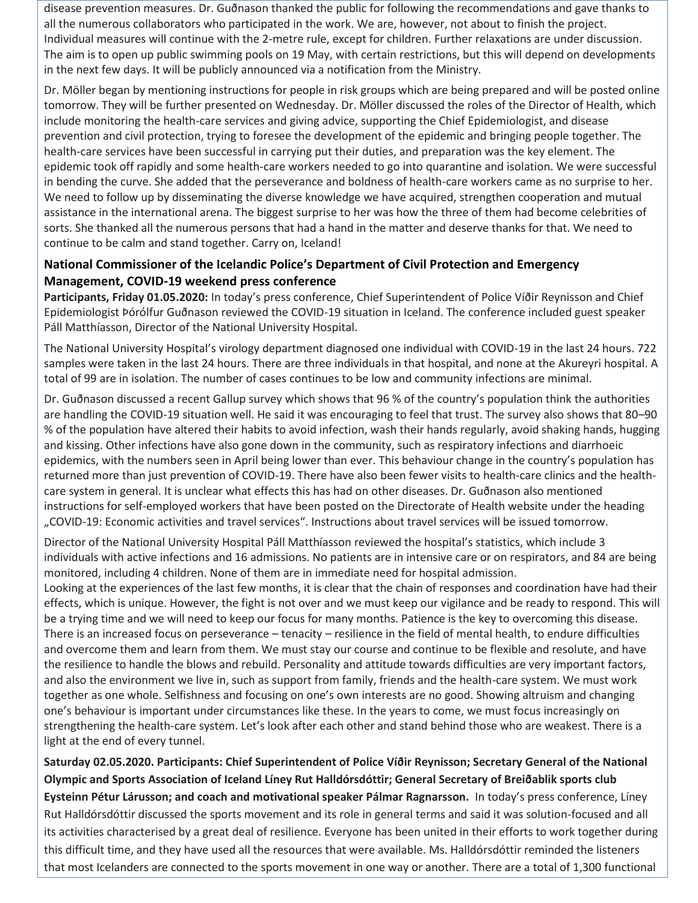disease prevention measures. Dr. Guðnason thanked the public for following the recommendations and gave thanks to all the numerous collaborators who participated in the work. We are, however, not about to finish the project. Individual measures will continue with the 2-metre rule, except for children. Further relaxations are under discussion. The aim is to open up public swimming pools on 19 May, with certain restrictions, but this will depend on developments in the next few days. It will be publicly announced via a notification from the Ministry.

Dr. Möller began by mentioning instructions for people in risk groups which are being prepared and will be posted online tomorrow. They will be further presented on Wednesday. Dr. Möller discussed the roles of the Director of Health, which include monitoring the health-care services and giving advice, supporting the Chief Epidemiologist, and disease prevention and civil protection, trying to foresee the development of the epidemic and bringing people together. The health-care services have been successful in carrying put their duties, and preparation was the key element. The epidemic took off rapidly and some health-care workers needed to go into quarantine and isolation. We were successful in bending the curve. She added that the perseverance and boldness of health-care workers came as no surprise to her. We need to follow up by disseminating the diverse knowledge we have acquired, strengthen cooperation and mutual assistance in the international arena. The biggest surprise to her was how the three of them had become celebrities of sorts. She thanked all the numerous persons that had a hand in the matter and deserve thanks for that. We need to continue to be calm and stand together. Carry on, Iceland!

## **National Commissioner of the Icelandic Police's Department of Civil Protection and Emergency Management, COVID-19 weekend press conference**

**Participants, Friday 01.05.2020:** In today's press conference, Chief Superintendent of Police Víðir Reynisson and Chief Epidemiologist Þórólfur Guðnason reviewed the COVID-19 situation in Iceland. The conference included guest speaker Páll Matthíasson, Director of the National University Hospital.

The National University Hospital's virology department diagnosed one individual with COVID-19 in the last 24 hours. 722 samples were taken in the last 24 hours. There are three individuals in that hospital, and none at the Akureyri hospital. A total of 99 are in isolation. The number of cases continues to be low and community infections are minimal.

Dr. Guðnason discussed a recent Gallup survey which shows that 96 % of the country's population think the authorities are handling the COVID-19 situation well. He said it was encouraging to feel that trust. The survey also shows that 80–90 % of the population have altered their habits to avoid infection, wash their hands regularly, avoid shaking hands, hugging and kissing. Other infections have also gone down in the community, such as respiratory infections and diarrhoeic epidemics, with the numbers seen in April being lower than ever. This behaviour change in the country's population has returned more than just prevention of COVID-19. There have also been fewer visits to health-care clinics and the healthcare system in general. It is unclear what effects this has had on other diseases. Dr. Guðnason also mentioned instructions for self-employed workers that have been posted on the Directorate of Health website under the heading "COVID-19: Economic activities and travel services". Instructions about travel services will be issued tomorrow.

Director of the National University Hospital Páll Matthíasson reviewed the hospital's statistics, which include 3 individuals with active infections and 16 admissions. No patients are in intensive care or on respirators, and 84 are being monitored, including 4 children. None of them are in immediate need for hospital admission.

Looking at the experiences of the last few months, it is clear that the chain of responses and coordination have had their effects, which is unique. However, the fight is not over and we must keep our vigilance and be ready to respond. This will be a trying time and we will need to keep our focus for many months. Patience is the key to overcoming this disease. There is an increased focus on perseverance – tenacity – resilience in the field of mental health, to endure difficulties and overcome them and learn from them. We must stay our course and continue to be flexible and resolute, and have the resilience to handle the blows and rebuild. Personality and attitude towards difficulties are very important factors, and also the environment we live in, such as support from family, friends and the health-care system. We must work together as one whole. Selfishness and focusing on one's own interests are no good. Showing altruism and changing one's behaviour is important under circumstances like these. In the years to come, we must focus increasingly on strengthening the health-care system. Let's look after each other and stand behind those who are weakest. There is a light at the end of every tunnel.

**Saturday 02.05.2020. Participants: Chief Superintendent of Police Víðir Reynisson; Secretary General of the National Olympic and Sports Association of Iceland Líney Rut Halldórsdóttir; General Secretary of Breiðablik sports club Eysteinn Pétur Lárusson; and coach and motivational speaker Pálmar Ragnarsson.** In today's press conference, Líney Rut Halldórsdóttir discussed the sports movement and its role in general terms and said it was solution-focused and all its activities characterised by a great deal of resilience. Everyone has been united in their efforts to work together during this difficult time, and they have used all the resources that were available. Ms. Halldórsdóttir reminded the listeners that most Icelanders are connected to the sports movement in one way or another. There are a total of 1,300 functional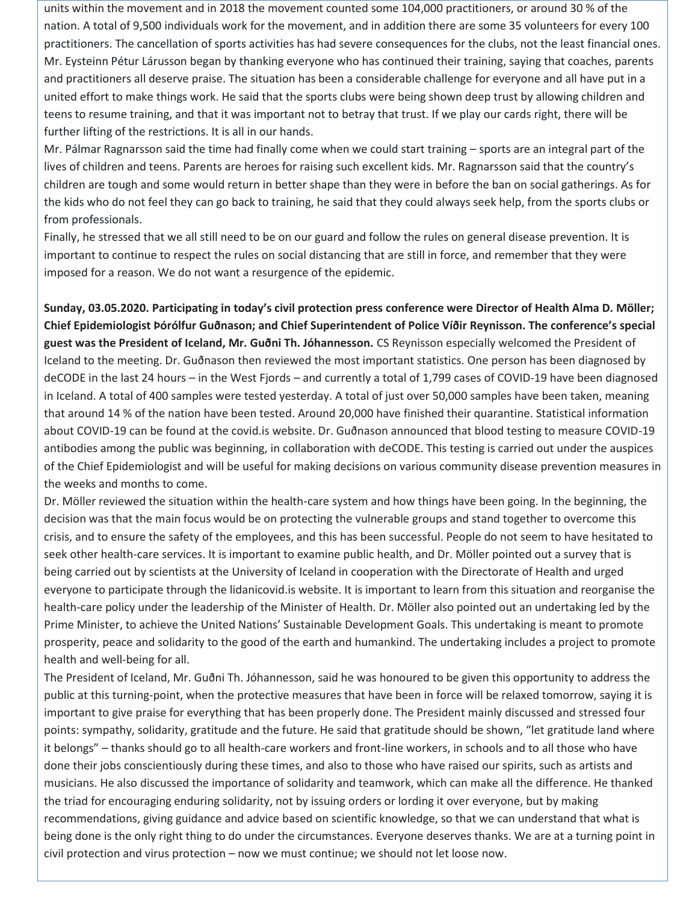units within the movement and in 2018 the movement counted some 104,000 practitioners, or around 30 % of the nation. A total of 9,500 individuals work for the movement, and in addition there are some 35 volunteers for every 100 practitioners. The cancellation of sports activities has had severe consequences for the clubs, not the least financial ones. Mr. Eysteinn Pétur Lárusson began by thanking everyone who has continued their training, saying that coaches, parents and practitioners all deserve praise. The situation has been a considerable challenge for everyone and all have put in a united effort to make things work. He said that the sports clubs were being shown deep trust by allowing children and teens to resume training, and that it was important not to betray that trust. If we play our cards right, there will be further lifting of the restrictions. It is all in our hands.

Mr. Pálmar Ragnarsson said the time had finally come when we could start training – sports are an integral part of the lives of children and teens. Parents are heroes for raising such excellent kids. Mr. Ragnarsson said that the country's children are tough and some would return in better shape than they were in before the ban on social gatherings. As for the kids who do not feel they can go back to training, he said that they could always seek help, from the sports clubs or from professionals.

Finally, he stressed that we all still need to be on our guard and follow the rules on general disease prevention. It is important to continue to respect the rules on social distancing that are still in force, and remember that they were imposed for a reason. We do not want a resurgence of the epidemic.

**Sunday, 03.05.2020. Participating in today's civil protection press conference were Director of Health Alma D. Möller; Chief Epidemiologist Þórólfur Guðnason; and Chief Superintendent of Police Víðir Reynisson. The conference's special guest was the President of Iceland, Mr. Guðni Th. Jóhannesson.** CS Reynisson especially welcomed the President of Iceland to the meeting. Dr. Guðnason then reviewed the most important statistics. One person has been diagnosed by deCODE in the last 24 hours – in the West Fjords – and currently a total of 1,799 cases of COVID-19 have been diagnosed in Iceland. A total of 400 samples were tested yesterday. A total of just over 50,000 samples have been taken, meaning that around 14 % of the nation have been tested. Around 20,000 have finished their quarantine. Statistical information about COVID-19 can be found at the covid.is website. Dr. Guðnason announced that blood testing to measure COVID-19 antibodies among the public was beginning, in collaboration with deCODE. This testing is carried out under the auspices of the Chief Epidemiologist and will be useful for making decisions on various community disease prevention measures in the weeks and months to come.

Dr. Möller reviewed the situation within the health-care system and how things have been going. In the beginning, the decision was that the main focus would be on protecting the vulnerable groups and stand together to overcome this crisis, and to ensure the safety of the employees, and this has been successful. People do not seem to have hesitated to seek other health-care services. It is important to examine public health, and Dr. Möller pointed out a survey that is being carried out by scientists at the University of Iceland in cooperation with the Directorate of Health and urged everyone to participate through the lidanicovid.is website. It is important to learn from this situation and reorganise the health-care policy under the leadership of the Minister of Health. Dr. Möller also pointed out an undertaking led by the Prime Minister, to achieve the United Nations' Sustainable Development Goals. This undertaking is meant to promote prosperity, peace and solidarity to the good of the earth and humankind. The undertaking includes a project to promote health and well-being for all.

The President of Iceland, Mr. Guðni Th. Jóhannesson, said he was honoured to be given this opportunity to address the public at this turning-point, when the protective measures that have been in force will be relaxed tomorrow, saying it is important to give praise for everything that has been properly done. The President mainly discussed and stressed four points: sympathy, solidarity, gratitude and the future. He said that gratitude should be shown, "let gratitude land where it belongs" – thanks should go to all health-care workers and front-line workers, in schools and to all those who have done their jobs conscientiously during these times, and also to those who have raised our spirits, such as artists and musicians. He also discussed the importance of solidarity and teamwork, which can make all the difference. He thanked the triad for encouraging enduring solidarity, not by issuing orders or lording it over everyone, but by making recommendations, giving guidance and advice based on scientific knowledge, so that we can understand that what is being done is the only right thing to do under the circumstances. Everyone deserves thanks. We are at a turning point in civil protection and virus protection – now we must continue; we should not let loose now.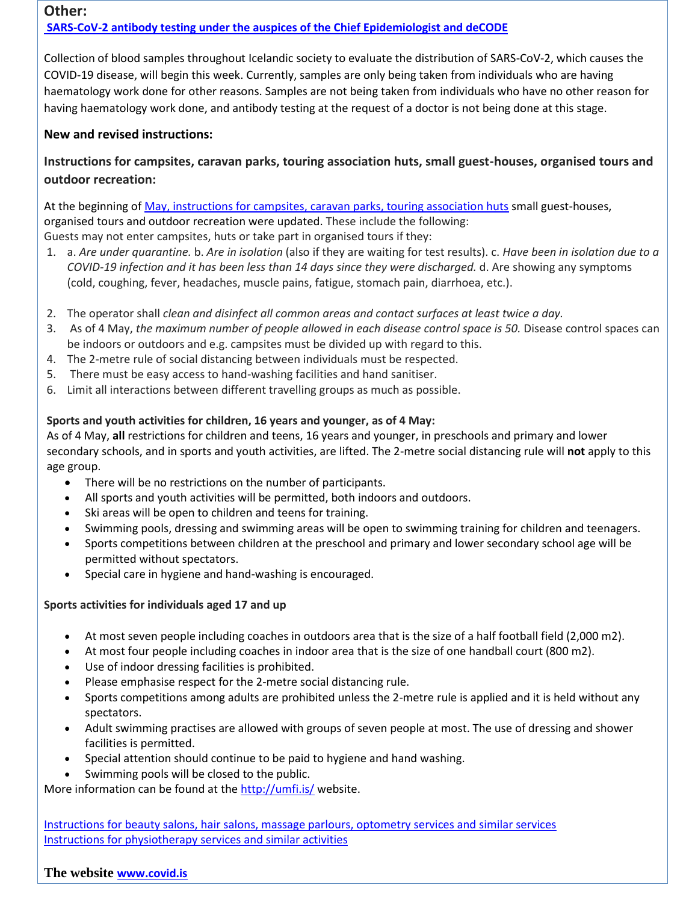# **Other: [SARS-CoV-2 antibody testing under the auspices of the Chief Epidemiologist and deCODE](https://www.landlaeknir.is/um-embaettid/frettir/frett/item41440/Maelingar-motefna-gegn-SARS-CoV-2-a-vegum-sottvarnalaeknis-og-Islenskrar-erfdagreiningar/)**

Collection of blood samples throughout Icelandic society to evaluate the distribution of SARS-CoV-2, which causes the COVID-19 disease, will begin this week. Currently, samples are only being taken from individuals who are having haematology work done for other reasons. Samples are not being taken from individuals who have no other reason for having haematology work done, and antibody testing at the request of a doctor is not being done at this stage.

## **New and revised instructions:**

# **Instructions for campsites, caravan parks, touring association huts, small guest-houses, organised tours and outdoor recreation:**

At the beginning o[f May, instructions for campsites, caravan parks, touring association huts](https://www.landlaeknir.is/utgefid-efni/skjal/item41443/) small guest-houses, organised tours and outdoor recreation were updated. These include the following: Guests may not enter campsites, huts or take part in organised tours if they:

- 1. a. *Are under quarantine.* b. *Are in isolation* (also if they are waiting for test results). c. *Have been in isolation due to a COVID-19 infection and it has been less than 14 days since they were discharged.* d. Are showing any symptoms (cold, coughing, fever, headaches, muscle pains, fatigue, stomach pain, diarrhoea, etc.).
- 2. The operator shall *clean and disinfect all common areas and contact surfaces at least twice a day.*
- 3. As of 4 May, *the maximum number of people allowed in each disease control space is 50.* Disease control spaces can be indoors or outdoors and e.g. campsites must be divided up with regard to this.
- 4. The 2-metre rule of social distancing between individuals must be respected.
- 5. There must be easy access to hand-washing facilities and hand sanitiser.
- 6. Limit all interactions between different travelling groups as much as possible.

## **Sports and youth activities for children, 16 years and younger, as of 4 May:**

As of 4 May, **all** restrictions for children and teens, 16 years and younger, in preschools and primary and lower secondary schools, and in sports and youth activities, are lifted. The 2-metre social distancing rule will **not** apply to this age group.

- There will be no restrictions on the number of participants.
- All sports and youth activities will be permitted, both indoors and outdoors.
- Ski areas will be open to children and teens for training.
- Swimming pools, dressing and swimming areas will be open to swimming training for children and teenagers.
- Sports competitions between children at the preschool and primary and lower secondary school age will be permitted without spectators.
- Special care in hygiene and hand-washing is encouraged.

#### **Sports activities for individuals aged 17 and up**

- At most seven people including coaches in outdoors area that is the size of a half football field (2,000 m2).
- At most four people including coaches in indoor area that is the size of one handball court (800 m2).
- Use of indoor dressing facilities is prohibited.
- Please emphasise respect for the 2-metre social distancing rule.
- Sports competitions among adults are prohibited unless the 2-metre rule is applied and it is held without any spectators.
- Adult swimming practises are allowed with groups of seven people at most. The use of dressing and shower facilities is permitted.
- Special attention should continue to be paid to hygiene and hand washing.
- Swimming pools will be closed to the public.

More information can be found at the<http://umfi.is/> website.

[Instructions for beauty salons, hair salons, massage parlours, optometry services and similar services](https://www.landlaeknir.is/servlet/file/store93/item41435/Persónuleg%20þjónusta-snyrting-hárgreiðsla01.05.2020.pdf) [Instructions for physiotherapy services and similar activities](https://www.landlaeknir.is/servlet/file/store93/item41436/sjúkraþjálfun%20og%20sambærilegt02.05.2020.pdf)

#### **The website [www.covid.is](http://www.covid.is/)**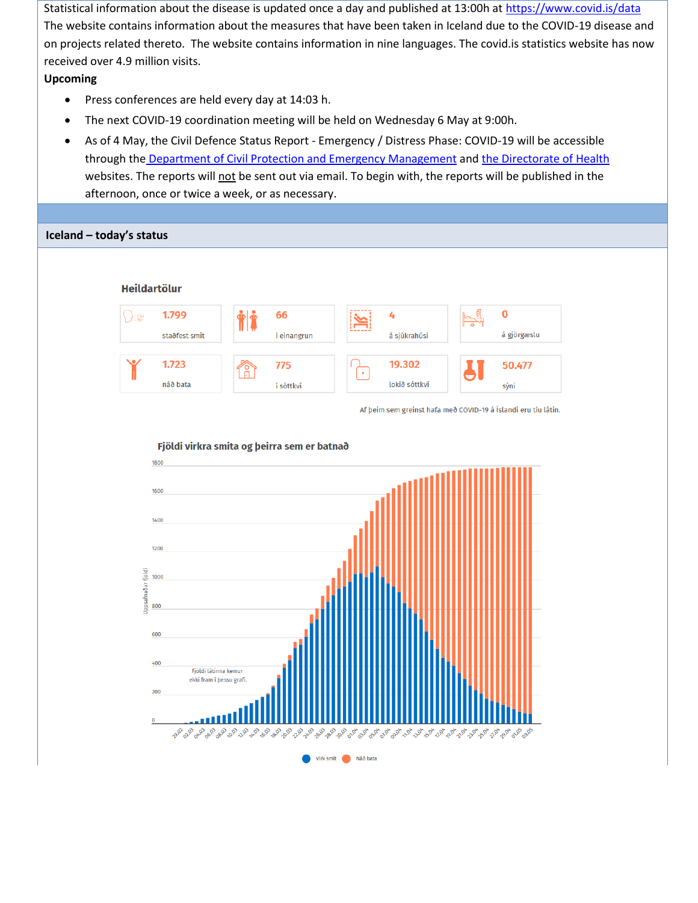Statistical information about the disease is updated once a day and published at 13:00h at https://www.covid.is/data The website contains information about the measures that have been taken in Iceland due to the COVID-19 disease and on projects related thereto. The website contains information in nine languages. The covid.is statistics website has now received over 4.9 million visits.

#### **Upcoming**

- Press conferences are held every day at 14:03 h.
- The next COVID-19 coordination meeting will be held on Wednesday 6 May at 9:00h.
- As of 4 May, the Civil Defence Status Report Emergency / Distress Phase: COVID-19 will be accessible through the [Department of Civil Protection and Emergency Management](https://www.almannavarnir.is/utgefid-efni/) an[d the Directorate of Health](https://www.landlaeknir.is/um-embaettid/greinar/grein/item38863/Stoduskyrslur---Ovissustig-vegna-koronaveiru-(2019-nCoV)) websites. The reports will not be sent out via email. To begin with, the reports will be published in the afternoon, once or twice a week, or as necessary.

#### **Iceland – today's statusHeildartölur**  $\mathbf 0$  $\bigcap_{i\in\mathbb{N}}$ 1.799 66 4 á gjörgæslu staðfest smit í einangrun á sjúkrahúsi 19.302 1.723 50.477 775 náð bata lokið sóttkví í sóttkví sýni

Af þeim sem greinst hafa með COVID-19 á Íslandi eru tíu látin.



#### Fjöldi virkra smita og þeirra sem er batnað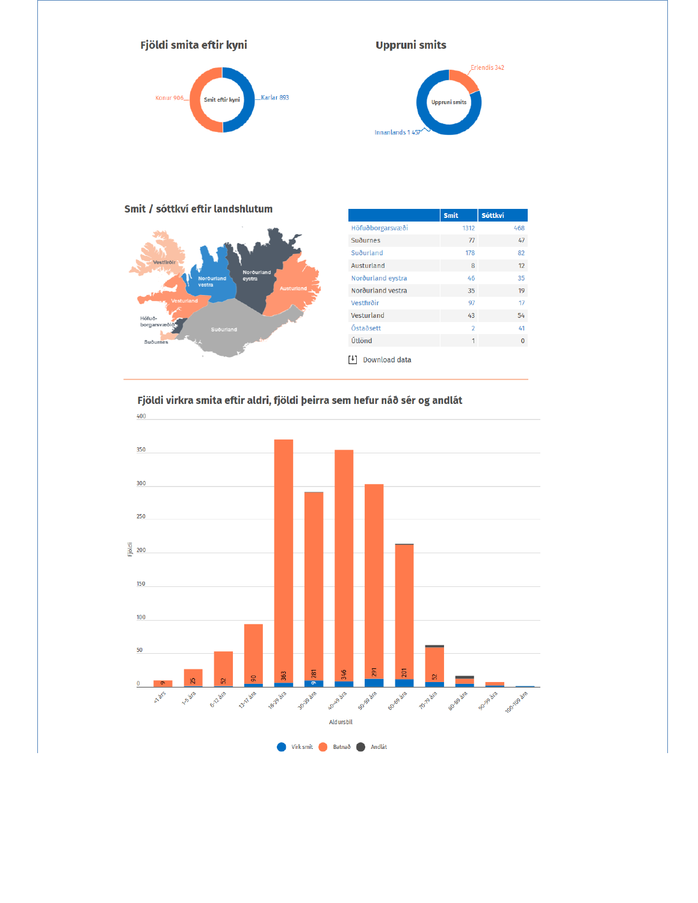

## **Uppruni smits**



#### Smit / sóttkví eftir landshlutum



|                   | <b>Smit</b>              | <b>Sóttkví</b> |  |  |
|-------------------|--------------------------|----------------|--|--|
| Höfuðborgarsvæði  | 1312                     | 468            |  |  |
| Suðurnes          | 77                       | 47             |  |  |
| Suðurland         | 178                      | 82             |  |  |
| Austurland        | 8                        | 12             |  |  |
| Norðurland eystra | 46                       | 35             |  |  |
| Norðurland vestra | 35                       | 19             |  |  |
| Vestfirðir        | 97                       | 17             |  |  |
| Vesturland        | 43                       | 54             |  |  |
| Óstaðsett         | $\overline{\phantom{a}}$ | 41             |  |  |
| Útlönd            | 1                        | $\Omega$       |  |  |
| Download data     |                          |                |  |  |

## Fjöldi virkra smita eftir aldri, fjöldi þeirra sem hefur náð sér og andlát